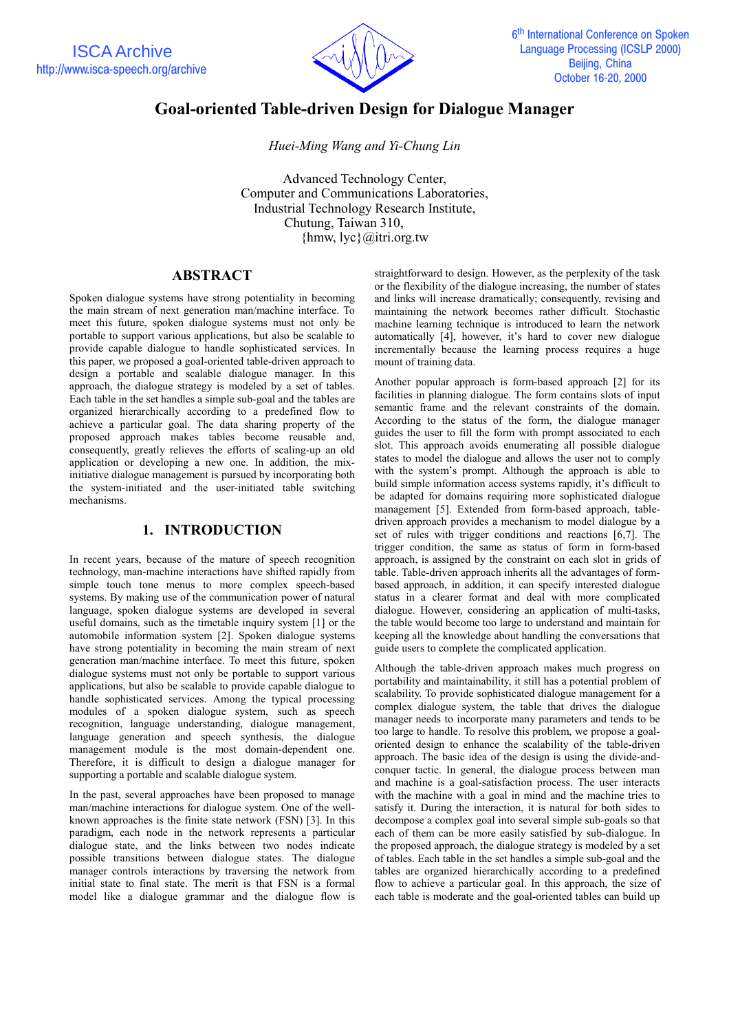

# **Goal-oriented Table-driven Design for Dialogue Manager**

*Huei-Ming Wang and Yi-Chung Lin*

Advanced Technology Center, Computer and Communications Laboratories, Industrial Technology Research Institute, Chutung, Taiwan 310,  ${\rm hmw, lyc}$   $\omega$ itri.org.tw

# **ABSTRACT**

Spoken dialogue systems have strong potentiality in becoming the main stream of next generation man/machine interface. To meet this future, spoken dialogue systems must not only be portable to support various applications, but also be scalable to provide capable dialogue to handle sophisticated services. In this paper, we proposed a goal-oriented table-driven approach to design a portable and scalable dialogue manager. In this approach, the dialogue strategy is modeled by a set of tables. Each table in the set handles a simple sub-goal and the tables are organized hierarchically according to a predefined flow to achieve a particular goal. The data sharing property of the proposed approach makes tables become reusable and, consequently, greatly relieves the efforts of scaling-up an old application or developing a new one. In addition, the mixinitiative dialogue management is pursued by incorporating both the system-initiated and the user-initiated table switching mechanisms.

# **1. INTRODUCTION**

In recent years, because of the mature of speech recognition technology, man-machine interactions have shifted rapidly from simple touch tone menus to more complex speech-based systems. By making use of the communication power of natural language, spoken dialogue systems are developed in several useful domains, such as the timetable inquiry system [1] or the automobile information system [2]. Spoken dialogue systems have strong potentiality in becoming the main stream of next generation man/machine interface. To meet this future, spoken dialogue systems must not only be portable to support various applications, but also be scalable to provide capable dialogue to handle sophisticated services. Among the typical processing modules of a spoken dialogue system, such as speech recognition, language understanding, dialogue management, language generation and speech synthesis, the dialogue management module is the most domain-dependent one. Therefore, it is difficult to design a dialogue manager for supporting a portable and scalable dialogue system.

In the past, several approaches have been proposed to manage man/machine interactions for dialogue system. One of the wellknown approaches is the finite state network (FSN) [3]. In this paradigm, each node in the network represents a particular dialogue state, and the links between two nodes indicate possible transitions between dialogue states. The dialogue manager controls interactions by traversing the network from initial state to final state. The merit is that FSN is a formal model like a dialogue grammar and the dialogue flow is straightforward to design. However, as the perplexity of the task or the flexibility of the dialogue increasing, the number of states and links will increase dramatically; consequently, revising and maintaining the network becomes rather difficult. Stochastic machine learning technique is introduced to learn the network automatically [4], however, it's hard to cover new dialogue incrementally because the learning process requires a huge mount of training data.

Another popular approach is form-based approach [2] for its facilities in planning dialogue. The form contains slots of input semantic frame and the relevant constraints of the domain. According to the status of the form, the dialogue manager guides the user to fill the form with prompt associated to each slot. This approach avoids enumerating all possible dialogue states to model the dialogue and allows the user not to comply with the system's prompt. Although the approach is able to build simple information access systems rapidly, it's difficult to be adapted for domains requiring more sophisticated dialogue management [5]. Extended from form-based approach, tabledriven approach provides a mechanism to model dialogue by a set of rules with trigger conditions and reactions [6,7]. The trigger condition, the same as status of form in form-based approach, is assigned by the constraint on each slot in grids of table. Table-driven approach inherits all the advantages of formbased approach, in addition, it can specify interested dialogue status in a clearer format and deal with more complicated dialogue. However, considering an application of multi-tasks, the table would become too large to understand and maintain for keeping all the knowledge about handling the conversations that guide users to complete the complicated application.

Although the table-driven approach makes much progress on portability and maintainability, it still has a potential problem of scalability. To provide sophisticated dialogue management for a complex dialogue system, the table that drives the dialogue manager needs to incorporate many parameters and tends to be too large to handle. To resolve this problem, we propose a goaloriented design to enhance the scalability of the table-driven approach. The basic idea of the design is using the divide-andconquer tactic. In general, the dialogue process between man and machine is a goal-satisfaction process. The user interacts with the machine with a goal in mind and the machine tries to satisfy it. During the interaction, it is natural for both sides to decompose a complex goal into several simple sub-goals so that each of them can be more easily satisfied by sub-dialogue. In the proposed approach, the dialogue strategy is modeled by a set of tables. Each table in the set handles a simple sub-goal and the tables are organized hierarchically according to a predefined flow to achieve a particular goal. In this approach, the size of each table is moderate and the goal-oriented tables can build up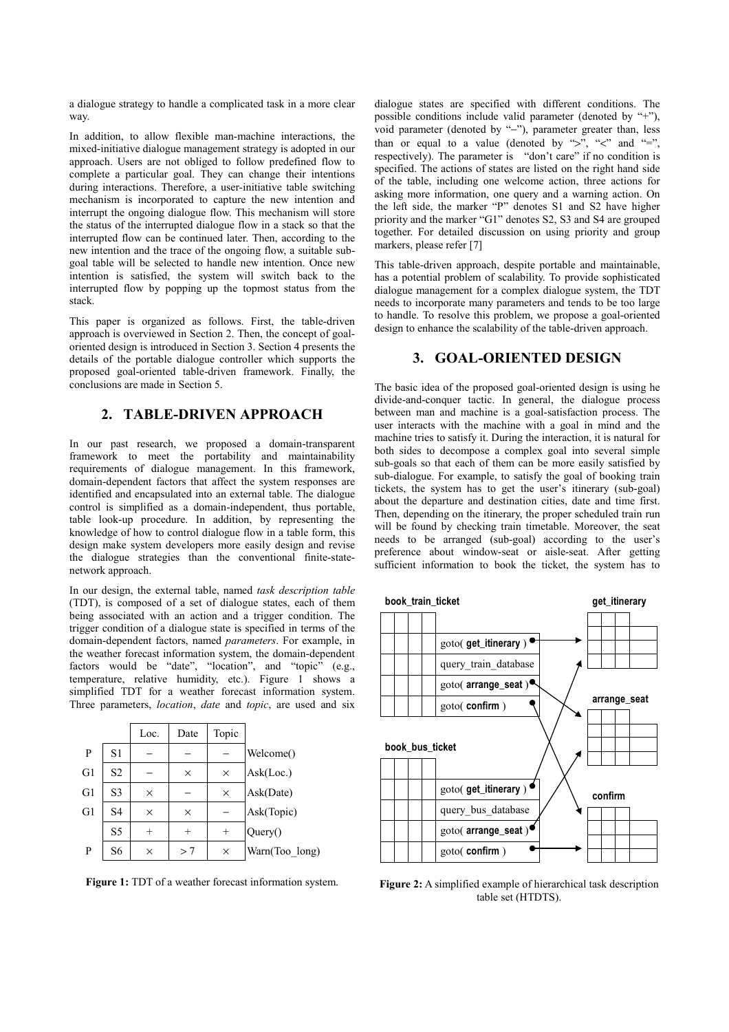a dialogue strategy to handle a complicated task in a more clear way.

In addition, to allow flexible man-machine interactions, the mixed-initiative dialogue management strategy is adopted in our approach. Users are not obliged to follow predefined flow to complete a particular goal. They can change their intentions during interactions. Therefore, a user-initiative table switching mechanism is incorporated to capture the new intention and interrupt the ongoing dialogue flow. This mechanism will store the status of the interrupted dialogue flow in a stack so that the interrupted flow can be continued later. Then, according to the new intention and the trace of the ongoing flow, a suitable subgoal table will be selected to handle new intention. Once new intention is satisfied, the system will switch back to the interrupted flow by popping up the topmost status from the stack.

This paper is organized as follows. First, the table-driven approach is overviewed in Section 2. Then, the concept of goaloriented design is introduced in Section 3. Section 4 presents the details of the portable dialogue controller which supports the proposed goal-oriented table-driven framework. Finally, the conclusions are made in Section 5.

# **2. TABLE-DRIVEN APPROACH**

In our past research, we proposed a domain-transparent framework to meet the portability and maintainability requirements of dialogue management. In this framework, domain-dependent factors that affect the system responses are identified and encapsulated into an external table. The dialogue control is simplified as a domain-independent, thus portable, table look-up procedure. In addition, by representing the knowledge of how to control dialogue flow in a table form, this design make system developers more easily design and revise the dialogue strategies than the conventional finite-statenetwork approach.

In our design, the external table, named *task description table* (TDT), is composed of a set of dialogue states, each of them being associated with an action and a trigger condition. The trigger condition of a dialogue state is specified in terms of the domain-dependent factors, named *parameters*. For example, in the weather forecast information system, the domain-dependent factors would be "date", "location", and "topic" (e.g., temperature, relative humidity, etc.). Figure 1 shows a simplified TDT for a weather forecast information system. Three parameters, *location*, *date* and *topic*, are used and six

|                |                | Loc.     | Date     | Topic    |                |
|----------------|----------------|----------|----------|----------|----------------|
| P              | S1             |          |          |          | Welcome()      |
| G <sub>1</sub> | S <sub>2</sub> |          | $\times$ | $\times$ | Ask(Loc.)      |
| G1             | S <sub>3</sub> | $\times$ |          | $\times$ | Ask(Date)      |
| G1             | S <sub>4</sub> | $\times$ | $\times$ |          | Ask(Topic)     |
|                | S <sub>5</sub> |          |          | $^{+}$   | Query()        |
| P              | S6             | $\times$ | >7       | $\times$ | Warn(Too long) |



dialogue states are specified with different conditions. The possible conditions include valid parameter (denoted by "+"), void parameter (denoted by "−"), parameter greater than, less than or equal to a value (denoted by ">", "<" and "=", respectively). The parameter is "don't care" if no condition is specified. The actions of states are listed on the right hand side of the table, including one welcome action, three actions for asking more information, one query and a warning action. On the left side, the marker "P" denotes S1 and S2 have higher priority and the marker "G1" denotes S2, S3 and S4 are grouped together. For detailed discussion on using priority and group markers, please refer [7]

This table-driven approach, despite portable and maintainable, has a potential problem of scalability. To provide sophisticated dialogue management for a complex dialogue system, the TDT needs to incorporate many parameters and tends to be too large to handle. To resolve this problem, we propose a goal-oriented design to enhance the scalability of the table-driven approach.

## **3. GOAL-ORIENTED DESIGN**

The basic idea of the proposed goal-oriented design is using he divide-and-conquer tactic. In general, the dialogue process between man and machine is a goal-satisfaction process. The user interacts with the machine with a goal in mind and the machine tries to satisfy it. During the interaction, it is natural for both sides to decompose a complex goal into several simple sub-goals so that each of them can be more easily satisfied by sub-dialogue. For example, to satisfy the goal of booking train tickets, the system has to get the user's itinerary (sub-goal) about the departure and destination cities, date and time first. Then, depending on the itinerary, the proper scheduled train run will be found by checking train timetable. Moreover, the seat needs to be arranged (sub-goal) according to the user's preference about window-seat or aisle-seat. After getting sufficient information to book the ticket, the system has to



**Figure 2:** A simplified example of hierarchical task description table set (HTDTS).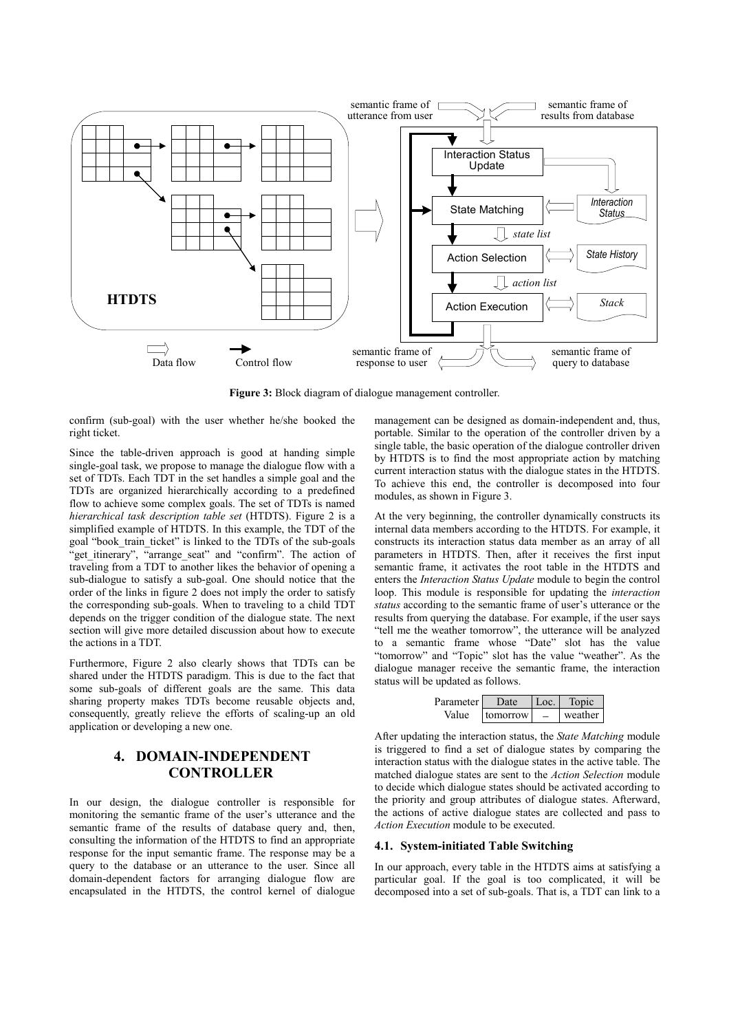

**Figure 3:** Block diagram of dialogue management controller.

confirm (sub-goal) with the user whether he/she booked the right ticket.

Since the table-driven approach is good at handing simple single-goal task, we propose to manage the dialogue flow with a set of TDTs. Each TDT in the set handles a simple goal and the TDTs are organized hierarchically according to a predefined flow to achieve some complex goals. The set of TDTs is named *hierarchical task description table set* (HTDTS). Figure 2 is a simplified example of HTDTS. In this example, the TDT of the goal "book\_train\_ticket" is linked to the TDTs of the sub-goals "get itinerary", "arrange seat" and "confirm". The action of traveling from a TDT to another likes the behavior of opening a sub-dialogue to satisfy a sub-goal. One should notice that the order of the links in figure 2 does not imply the order to satisfy the corresponding sub-goals. When to traveling to a child TDT depends on the trigger condition of the dialogue state. The next section will give more detailed discussion about how to execute the actions in a TDT.

Furthermore, Figure 2 also clearly shows that TDTs can be shared under the HTDTS paradigm. This is due to the fact that some sub-goals of different goals are the same. This data sharing property makes TDTs become reusable objects and, consequently, greatly relieve the efforts of scaling-up an old application or developing a new one.

# **4. DOMAIN-INDEPENDENT CONTROLLER**

In our design, the dialogue controller is responsible for monitoring the semantic frame of the user's utterance and the semantic frame of the results of database query and, then, consulting the information of the HTDTS to find an appropriate response for the input semantic frame. The response may be a query to the database or an utterance to the user. Since all domain-dependent factors for arranging dialogue flow are encapsulated in the HTDTS, the control kernel of dialogue management can be designed as domain-independent and, thus, portable. Similar to the operation of the controller driven by a single table, the basic operation of the dialogue controller driven by HTDTS is to find the most appropriate action by matching current interaction status with the dialogue states in the HTDTS. To achieve this end, the controller is decomposed into four modules, as shown in Figure 3.

At the very beginning, the controller dynamically constructs its internal data members according to the HTDTS. For example, it constructs its interaction status data member as an array of all parameters in HTDTS. Then, after it receives the first input semantic frame, it activates the root table in the HTDTS and enters the *Interaction Status Update* module to begin the control loop. This module is responsible for updating the *interaction status* according to the semantic frame of user's utterance or the results from querying the database. For example, if the user says "tell me the weather tomorrow", the utterance will be analyzed to a semantic frame whose "Date" slot has the value "tomorrow" and "Topic" slot has the value "weather". As the dialogue manager receive the semantic frame, the interaction status will be updated as follows.

| Parameter l | Date     | $L$ OC. | Topic   |
|-------------|----------|---------|---------|
| Value       | tomorrow |         | weather |

After updating the interaction status, the *State Matching* module is triggered to find a set of dialogue states by comparing the interaction status with the dialogue states in the active table. The matched dialogue states are sent to the *Action Selection* module to decide which dialogue states should be activated according to the priority and group attributes of dialogue states. Afterward, the actions of active dialogue states are collected and pass to *Action Execution* module to be executed.

#### **4.1. System-initiated Table Switching**

In our approach, every table in the HTDTS aims at satisfying a particular goal. If the goal is too complicated, it will be decomposed into a set of sub-goals. That is, a TDT can link to a